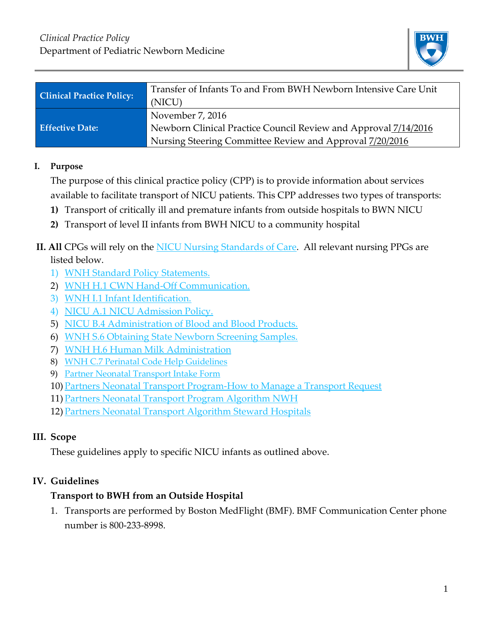

| <b>Clinical Practice Policy:</b> | Transfer of Infants To and From BWH Newborn Intensive Care Unit |
|----------------------------------|-----------------------------------------------------------------|
|                                  | (NICU)                                                          |
| <b>Effective Date:</b>           | November 7, 2016                                                |
|                                  | Newborn Clinical Practice Council Review and Approval 7/14/2016 |
|                                  | Nursing Steering Committee Review and Approval 7/20/2016        |

#### **I. Purpose**

The purpose of this clinical practice policy (CPP) is to provide information about services available to facilitate transport of NICU patients. This CPP addresses two types of transports:

- **1)** Transport of critically ill and premature infants from outside hospitals to BWN NICU
- **2)** Transport of level II infants from BWH NICU to a community hospital

### **II. All** CPGs will rely on the [NICU Nursing Standards of Care.](http://www.bwhpikenotes.org/policies/Nursing/CWN_Clinical_Practice_Manual/NICU/NICU_Standards.pdf) All relevant nursing PPGs are listed below.

- 1) [WNH Standard Policy Statements.](https://hospitalpolicies.ellucid.com/documents/view/3252/17553/)
- 2) [WNH H.1 CWN Hand-Off Communication.](https://hospitalpolicies.ellucid.com/documents/view/3252/17553/)
- 3) [WNH I.1 Infant Identification.](https://hospitalpolicies.ellucid.com/documents/view/3285)
- 4) [NICU A.1 NICU Admission Policy.](https://hospitalpolicies.ellucid.com/documents/view/3285)
- 5) [NICU B.4 Administration of Blood and Blood Products.](https://hospitalpolicies.ellucid.com/documents/view/3194)
- 6) [WNH S.6 Obtaining State Newborn Screening Samples.](https://hospitalpolicies.ellucid.com/documents/view/3314)
- 7) [WNH H.6 Human Milk Administration](https://hospitalpolicies.ellucid.com/documents/view/3284/13035/)
- 8) [WNH C.7 Perinatal Code Help Guidelines](https://hospitalpolicies.ellucid.com/documents/view/3252)
- 9) [Partner Neonatal Transport Intake Form](https://www.bwhpikenotes.org/Departments_Centers/NewbornMedicine_NICU/documents/DPNM_Partners_Neonatal_Transport_Intake_Form.pdf)
- 10) [Partners Neonatal Transport Program-How to Manage a Transport Request](https://www.bwhpikenotes.org/Departments_Centers/NewbornMedicine_NICU/documents/Partners_Neonatal%20Transport_Program_How_to_Manage_a_Transport_Request.pdf)
- 11) [Partners Neonatal Transport Program Algorithm NWH](https://www.bwhpikenotes.org/Departments_Centers/NewbornMedicine_NICU/documents/Partners_Neonatal_Transport_Program_Algorithm_NWH.pdf)
- 12) [Partners Neonatal Transport Algorithm Steward Hospitals](https://www.bwhpikenotes.org/Departments_Centers/NewbornMedicine_NICU/documents/Partners_Neonatal_Transport_Algorithm_Steward.pdf)

# **III. Scope**

These guidelines apply to specific NICU infants as outlined above.

# **IV. Guidelines**

# **Transport to BWH from an Outside Hospital**

1. Transports are performed by Boston MedFlight (BMF). BMF Communication Center phone number is 800-233-8998.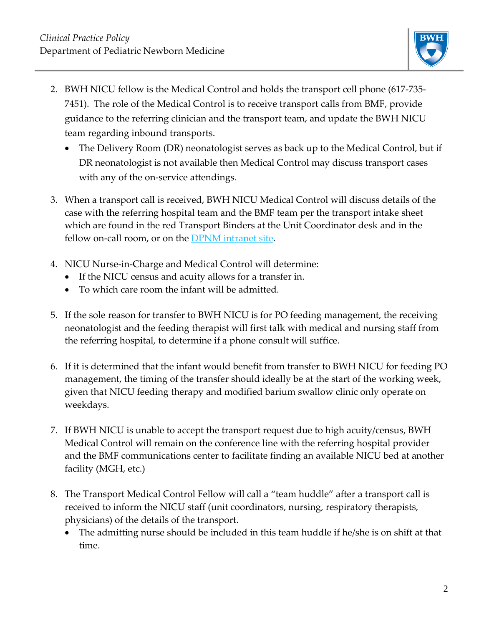

- 2. BWH NICU fellow is the Medical Control and holds the transport cell phone (617-735- 7451). The role of the Medical Control is to receive transport calls from BMF, provide guidance to the referring clinician and the transport team, and update the BWH NICU team regarding inbound transports.
	- The Delivery Room (DR) neonatologist serves as back up to the Medical Control, but if DR neonatologist is not available then Medical Control may discuss transport cases with any of the on-service attendings.
- 3. When a transport call is received, BWH NICU Medical Control will discuss details of the case with the referring hospital team and the BMF team per the transport intake sheet which are found in the red Transport Binders at the Unit Coordinator desk and in the fellow on-call room, or on the **DPNM** intranet site.
- 4. NICU Nurse-in-Charge and Medical Control will determine:
	- If the NICU census and acuity allows for a transfer in.
	- To which care room the infant will be admitted.
- 5. If the sole reason for transfer to BWH NICU is for PO feeding management, the receiving neonatologist and the feeding therapist will first talk with medical and nursing staff from the referring hospital, to determine if a phone consult will suffice.
- 6. If it is determined that the infant would benefit from transfer to BWH NICU for feeding PO management, the timing of the transfer should ideally be at the start of the working week, given that NICU feeding therapy and modified barium swallow clinic only operate on weekdays.
- 7. If BWH NICU is unable to accept the transport request due to high acuity/census, BWH Medical Control will remain on the conference line with the referring hospital provider and the BMF communications center to facilitate finding an available NICU bed at another facility (MGH, etc.)
- 8. The Transport Medical Control Fellow will call a "team huddle" after a transport call is received to inform the NICU staff (unit coordinators, nursing, respiratory therapists, physicians) of the details of the transport.
	- The admitting nurse should be included in this team huddle if he/she is on shift at that time.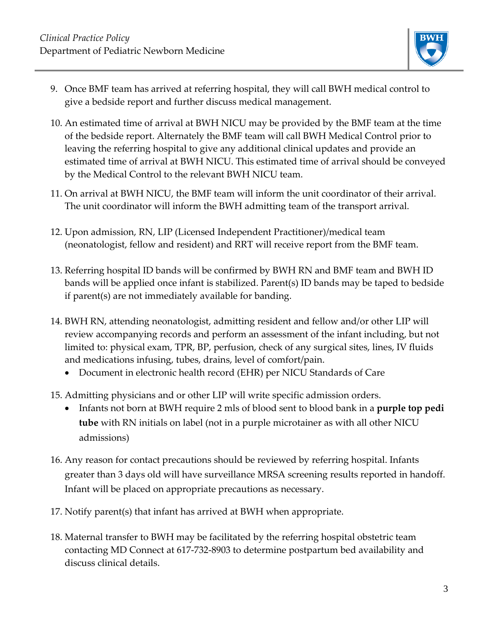

- 9. Once BMF team has arrived at referring hospital, they will call BWH medical control to give a bedside report and further discuss medical management.
- 10. An estimated time of arrival at BWH NICU may be provided by the BMF team at the time of the bedside report. Alternately the BMF team will call BWH Medical Control prior to leaving the referring hospital to give any additional clinical updates and provide an estimated time of arrival at BWH NICU. This estimated time of arrival should be conveyed by the Medical Control to the relevant BWH NICU team.
- 11. On arrival at BWH NICU, the BMF team will inform the unit coordinator of their arrival. The unit coordinator will inform the BWH admitting team of the transport arrival.
- 12. Upon admission, RN, LIP (Licensed Independent Practitioner)/medical team (neonatologist, fellow and resident) and RRT will receive report from the BMF team.
- 13. Referring hospital ID bands will be confirmed by BWH RN and BMF team and BWH ID bands will be applied once infant is stabilized. Parent(s) ID bands may be taped to bedside if parent(s) are not immediately available for banding.
- 14. BWH RN, attending neonatologist, admitting resident and fellow and/or other LIP will review accompanying records and perform an assessment of the infant including, but not limited to: physical exam, TPR, BP, perfusion, check of any surgical sites, lines, IV fluids and medications infusing, tubes, drains, level of comfort/pain.
	- Document in electronic health record (EHR) per NICU Standards of Care
- 15. Admitting physicians and or other LIP will write specific admission orders.
	- Infants not born at BWH require 2 mls of blood sent to blood bank in a **purple top pedi tube** with RN initials on label (not in a purple microtainer as with all other NICU admissions)
- 16. Any reason for contact precautions should be reviewed by referring hospital. Infants greater than 3 days old will have surveillance MRSA screening results reported in handoff. Infant will be placed on appropriate precautions as necessary.
- 17. Notify parent(s) that infant has arrived at BWH when appropriate.
- 18. Maternal transfer to BWH may be facilitated by the referring hospital obstetric team contacting MD Connect at 617-732-8903 to determine postpartum bed availability and discuss clinical details.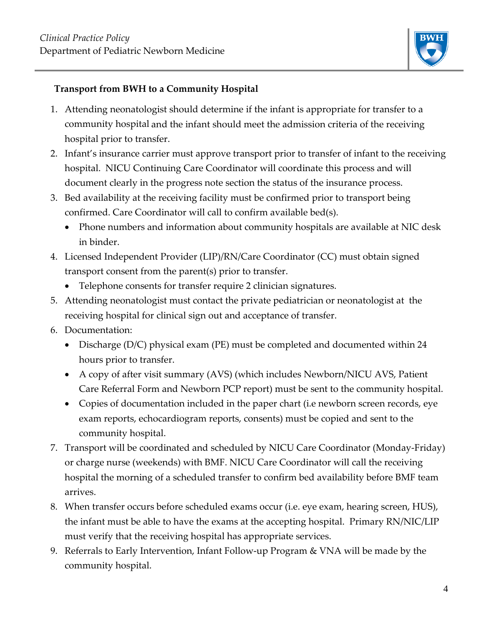

#### **Transport from BWH to a Community Hospital**

- 1. Attending neonatologist should determine if the infant is appropriate for transfer to a community hospital and the infant should meet the admission criteria of the receiving hospital prior to transfer.
- 2. Infant's insurance carrier must approve transport prior to transfer of infant to the receiving hospital. NICU Continuing Care Coordinator will coordinate this process and will document clearly in the progress note section the status of the insurance process.
- 3. Bed availability at the receiving facility must be confirmed prior to transport being confirmed. Care Coordinator will call to confirm available bed(s).
	- Phone numbers and information about community hospitals are available at NIC desk in binder.
- 4. Licensed Independent Provider (LIP)/RN/Care Coordinator (CC) must obtain signed transport consent from the parent(s) prior to transfer.
	- Telephone consents for transfer require 2 clinician signatures.
- 5. Attending neonatologist must contact the private pediatrician or neonatologist at the receiving hospital for clinical sign out and acceptance of transfer.
- 6. Documentation:
	- Discharge (D/C) physical exam (PE) must be completed and documented within 24 hours prior to transfer.
	- A copy of after visit summary (AVS) (which includes Newborn/NICU AVS, Patient Care Referral Form and Newborn PCP report) must be sent to the community hospital.
	- Copies of documentation included in the paper chart (i.e newborn screen records, eye exam reports, echocardiogram reports, consents) must be copied and sent to the community hospital.
- 7. Transport will be coordinated and scheduled by NICU Care Coordinator (Monday-Friday) or charge nurse (weekends) with BMF. NICU Care Coordinator will call the receiving hospital the morning of a scheduled transfer to confirm bed availability before BMF team arrives.
- 8. When transfer occurs before scheduled exams occur (i.e. eye exam, hearing screen, HUS), the infant must be able to have the exams at the accepting hospital. Primary RN/NIC/LIP must verify that the receiving hospital has appropriate services.
- 9. Referrals to Early Intervention, Infant Follow-up Program & VNA will be made by the community hospital.